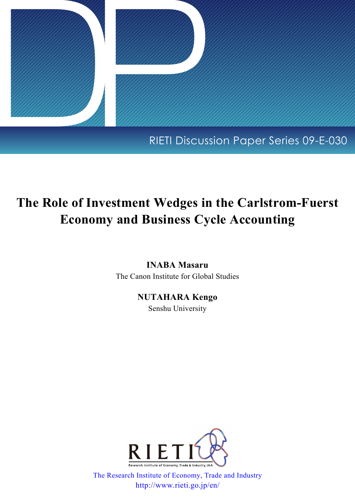

## RIETI Discussion Paper Series 09-E-030

# **The Role of Investment Wedges in the Carlstrom-Fuerst Economy and Business Cycle Accounting**

## **INABA Masaru**

The Canon Institute for Global Studies

## **NUTAHARA Kengo**

Senshu University



[The Research Institute of Economy, Trade and Industry](http://www.rieti.go.jp/en/) http://www.rieti.go.jp/en/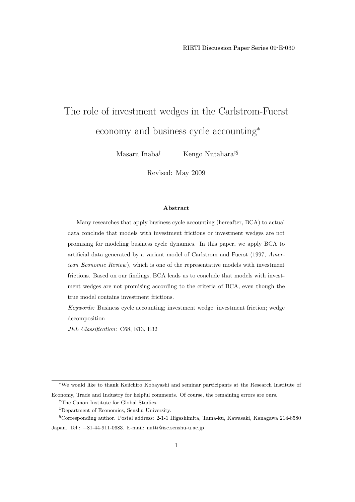# The role of investment wedges in the Carlstrom-Fuerst economy and business cycle accounting*<sup>∗</sup>*

Masaru Inaba*†* Kengo Nutahara*‡§*

Revised: May 2009

#### **Abstract**

Many researches that apply business cycle accounting (hereafter, BCA) to actual data conclude that models with investment frictions or investment wedges are not promising for modeling business cycle dynamics. In this paper, we apply BCA to artificial data generated by a variant model of Carlstrom and Fuerst (1997, *American Economic Review*), which is one of the representative models with investment frictions. Based on our findings, BCA leads us to conclude that models with investment wedges are not promising according to the criteria of BCA, even though the true model contains investment frictions.

*Keywords:* Business cycle accounting; investment wedge; investment friction; wedge decomposition

*JEL Classification:* C68, E13, E32

*<sup>∗</sup>*We would like to thank Keiichiro Kobayashi and seminar participants at the Research Institute of

Economy, Trade and Industry for helpful comments. Of course, the remaining errors are ours.

<sup>&</sup>lt;sup>†</sup>The Canon Institute for Global Studies.

*<sup>‡</sup>*Department of Economics, Senshu University.

*<sup>§</sup>*Corresponding author. Postal address: 2-1-1 Higashimita, Tama-ku, Kawasaki, Kanagawa 214-8580

Japan. Tel.: +81-44-911-0683. E-mail: nutti@isc.senshu-u.ac.jp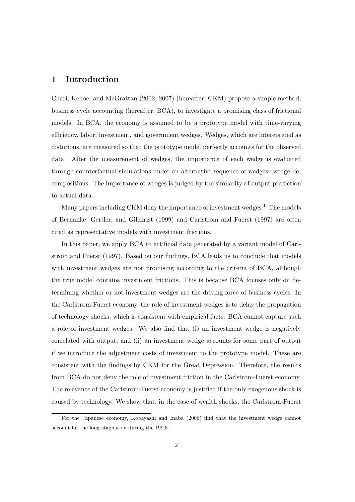## **1 Introduction**

Chari, Kehoe, and McGrattan (2002, 2007) (hereafter, CKM) propose a simple method, business cycle accounting (hereafter, BCA), to investigate a promising class of frictional models. In BCA, the economy is assumed to be a prototype model with time-varying efficiency, labor, investment, and government wedges. Wedges, which are interepreted as distorions, are measured so that the prototype model perfectly accounts for the observed data. After the measurement of wedges, the importance of each wedge is evaluated through counterfactual simulations under an alternative sequence of wedges: wedge decompositions. The importance of wedges is judged by the similarity of output prediction to actual data.

Many papers including CKM deny the importance of investment wedges.<sup>1</sup> The models of Bernanke, Gertler, and Gilchrist (1999) and Carlstrom and Fuerst (1997) are often cited as representative models with investment frictions.

In this paper, we apply BCA to artificial data generated by a variant model of Carlstrom and Fuerst (1997). Based on our findings, BCA leads us to conclude that models with investment wedges are not promising according to the criteria of BCA, although the true model contains investment frictions. This is because BCA focuses only on determining whether or not investment wedges are the driving force of business cycles. In the Carlstrom-Fuerst economy, the role of investment wedges is to delay the propagation of technology shocks, which is consistent with empirical facts. BCA cannot capture such a role of investment wedges. We also find that (i) an investment wedge is negatively correlated with output; and (ii) an investment wedge accounts for some part of output if we introduce the adjustment costs of investment to the prototype model. These are consistent with the findings by CKM for the Great Depression. Therefore, the results from BCA do not deny the role of investment friction in the Carlstrom-Fuerst economy. The relevance of the Carlstrom-Fuerst economy is justified if the only exogenous shock is caused by technology. We show that, in the case of wealth shocks, the Carlstrom-Fuerst

<sup>1</sup>For the Japanese economy, Kobayashi and Inaba (2006) find that the investment wedge cannot account for the long stagnation during the 1990s.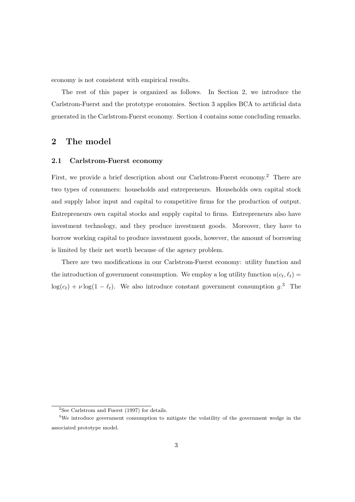economy is not consistent with empirical results.

The rest of this paper is organized as follows. In Section 2, we introduce the Carlstrom-Fuerst and the prototype economies. Section 3 applies BCA to artificial data generated in the Carlstrom-Fuerst economy. Section 4 contains some concluding remarks.

## **2 The model**

## **2.1 Carlstrom-Fuerst economy**

First, we provide a brief description about our Carlstrom-Fuerst economy.<sup>2</sup> There are two types of consumers: households and entrepreneurs. Households own capital stock and supply labor input and capital to competitive firms for the production of output. Entrepreneurs own capital stocks and supply capital to firms. Entrepreneurs also have investment technology, and they produce investment goods. Moreover, they have to borrow working capital to produce investment goods, however, the amount of borrowing is limited by their net worth because of the agency problem.

There are two modifications in our Carlstrom-Fuerst economy: utility function and the introduction of government consumption. We employ a log utility function  $u(c_t, \ell_t) =$  $log(c_t) + \nu log(1 - \ell_t)$ . We also introduce constant government consumption  $g^3$ . The

<sup>2</sup>See Carlstrom and Fuerst (1997) for details.

<sup>3</sup>We introduce government consumption to mitigate the volatility of the government wedge in the associated prototype model.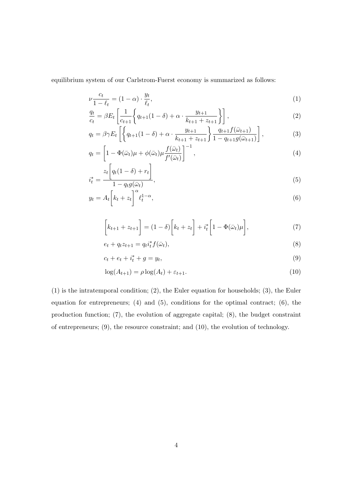equilibrium system of our Carlstrom-Fuerst economy is summarized as follows:

$$
\nu \frac{c_t}{1 - \ell_t} = (1 - \alpha) \cdot \frac{y_t}{\ell_t},\tag{1}
$$

$$
\frac{q_t}{c_t} = \beta E_t \left[ \frac{1}{c_{t+1}} \left\{ q_{t+1} (1 - \delta) + \alpha \cdot \frac{y_{t+1}}{k_{t+1} + z_{t+1}} \right\} \right],\tag{2}
$$

$$
q_{t} = \beta \gamma E_{t} \left[ \left\{ q_{t+1} (1 - \delta) + \alpha \cdot \frac{y_{t+1}}{k_{t+1} + z_{t+1}} \right\} \frac{q_{t+1} f(\bar{\omega}_{t+1})}{1 - q_{t+1} g(\bar{\omega}_{t+1})} \right],
$$
(3)

$$
q_t = \left[1 - \Phi(\bar{\omega}_t)\mu + \phi(\bar{\omega}_t)\mu \frac{f(\bar{\omega}_t)}{f'(\bar{\omega}_t)}\right]^{-1},\tag{4}
$$

$$
i_t^* = \frac{z_t \left[ q_t (1 - \delta) + r_t \right]}{1 - q_t g(\bar{\omega}_t)},
$$
\n
$$
(5)
$$

$$
y_t = A_t \left[ k_t + z_t \right]^\alpha \ell_t^{1-\alpha},\tag{6}
$$

$$
\[k_{t+1} + z_{t+1}\] = (1 - \delta)\left[k_t + z_t\right] + i_t^* \left[1 - \Phi(\bar{\omega}_t)\mu\right],\tag{7}
$$

$$
e_t + q_t z_{t+1} = q_t i_t^* f(\bar{\omega}_t), \qquad (8)
$$

$$
c_t + e_t + i_t^* + g = y_t,\tag{9}
$$

$$
\log(A_{t+1}) = \rho \log(A_t) + \varepsilon_{t+1}.\tag{10}
$$

(1) is the intratemporal condition; (2), the Euler equation for households; (3), the Euler equation for entrepreneurs; (4) and (5), conditions for the optimal contract; (6), the production function; (7), the evolution of aggregate capital; (8), the budget constraint of entrepreneurs; (9), the resource constraint; and (10), the evolution of technology.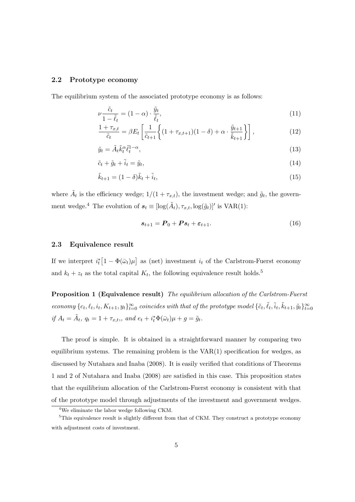#### **2.2 Prototype economy**

The equilibrium system of the associated prototype economy is as follows:

$$
\nu \frac{\tilde{c}_t}{1 - \tilde{\ell}_t} = (1 - \alpha) \cdot \frac{\tilde{y}_t}{\tilde{\ell}_t},\tag{11}
$$

$$
\frac{1+\tau_{x,t}}{\tilde{c}_t} = \beta E_t \left[ \frac{1}{\tilde{c}_{t+1}} \left\{ (1+\tau_{x,t+1})(1-\delta) + \alpha \cdot \frac{\tilde{y}_{t+1}}{\tilde{k}_{t+1}} \right\} \right],\tag{12}
$$

$$
\tilde{y}_t = \tilde{A}_t \tilde{k}_t^{\alpha} \tilde{\ell}_t^{1-\alpha},\tag{13}
$$

$$
\tilde{c}_t + \tilde{g}_t + \tilde{i}_t = \tilde{y}_t,\tag{14}
$$

$$
\tilde{k}_{t+1} = (1 - \delta)\tilde{k}_t + \tilde{i}_t,\tag{15}
$$

where  $\tilde{A}_t$  is the efficiency wedge;  $1/(1 + \tau_{x,t})$ , the investment wedge; and  $\tilde{g}_t$ , the government wedge.<sup>4</sup> The evolution of  $s_t \equiv [\log(\tilde{A}_t), \tau_{x,t}, \log(\tilde{g}_t)]'$  is VAR(1):

$$
\boldsymbol{s}_{t+1} = \boldsymbol{P}_0 + \boldsymbol{P}\boldsymbol{s}_t + \boldsymbol{\varepsilon}_{t+1}.
$$
\n(16)

### **2.3 Equivalence result**

If we interpret  $i_t^* \left[1 - \Phi(\bar{\omega}_t) \mu\right]$  as (net) investment  $i_t$  of the Carlstrom-Fuerst economy and  $k_t + z_t$  as the total capital  $K_t$ , the following equivalence result holds.<sup>5</sup>

**Proposition 1 (Equivalence result)** *The equilibrium allocation of the Carlstrom-Fuerst* economy  $\{c_t, \ell_t, i_t, K_{t+1}, y_t\}_{t=0}^{\infty}$  coincides with that of the prototype model  $\{\tilde{c}_t, \tilde{\ell}_t, \tilde{i}_t, \tilde{k}_{t+1}, \tilde{y}_t\}_{t=0}^{\infty}$ if  $A_t = \tilde{A}_t$ ,  $q_t = 1 + \tau_{x,t}$ , and  $e_t + i_t^* \Phi(\bar{\omega}_t) \mu + g = \tilde{g}_t$ .

The proof is simple. It is obtained in a straightforward manner by comparing two equilibrium systems. The remaining problem is the  $VAR(1)$  specification for wedges, as discussed by Nutahara and Inaba (2008). It is easily verified that conditions of Theorems 1 and 2 of Nutahara and Inaba (2008) are satisfied in this case. This proposition states that the equilibrium allocation of the Carlstrom-Fuerst economy is consistent with that of the prototype model through adjustments of the investment and government wedges.

<sup>4</sup>We eliminate the labor wedge following CKM.

 $5$ This equivalence result is slightly different from that of CKM. They construct a prototype economy with adjustment costs of investment.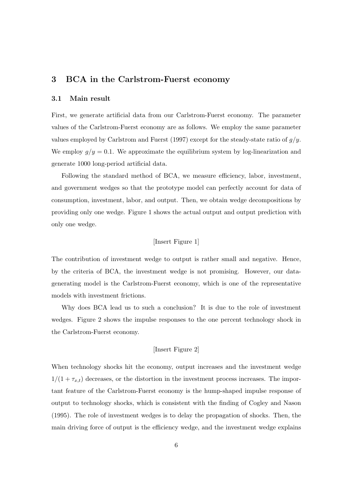## **3 BCA in the Carlstrom-Fuerst economy**

#### **3.1 Main result**

First, we generate artificial data from our Carlstrom-Fuerst economy. The parameter values of the Carlstrom-Fuerst economy are as follows. We employ the same parameter values employed by Carlstrom and Fuerst (1997) except for the steady-state ratio of *g/y*. We employ  $g/y = 0.1$ . We approximate the equilibrium system by log-linearization and generate 1000 long-period artificial data.

Following the standard method of BCA, we measure efficiency, labor, investment, and government wedges so that the prototype model can perfectly account for data of consumption, investment, labor, and output. Then, we obtain wedge decompositions by providing only one wedge. Figure 1 shows the actual output and output prediction with only one wedge.

#### [Insert Figure 1]

The contribution of investment wedge to output is rather small and negative. Hence, by the criteria of BCA, the investment wedge is not promising. However, our datagenerating model is the Carlstrom-Fuerst economy, which is one of the representative models with investment frictions.

Why does BCA lead us to such a conclusion? It is due to the role of investment wedges. Figure 2 shows the impulse responses to the one percent technology shock in the Carlstrom-Fuerst economy.

## [Insert Figure 2]

When technology shocks hit the economy, output increases and the investment wedge  $1/(1 + \tau_{x,t})$  decreases, or the distortion in the investment process increases. The important feature of the Carlstrom-Fuerst economy is the hump-shaped impulse response of output to technology shocks, which is consistent with the finding of Cogley and Nason (1995). The role of investment wedges is to delay the propagation of shocks. Then, the main driving force of output is the efficiency wedge, and the investment wedge explains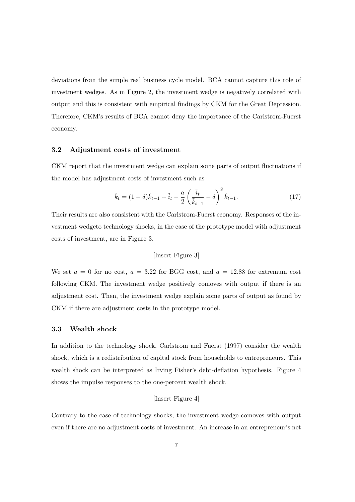deviations from the simple real business cycle model. BCA cannot capture this role of investment wedges. As in Figure 2, the investment wedge is negatively correlated with output and this is consistent with empirical findings by CKM for the Great Depression. Therefore, CKM's results of BCA cannot deny the importance of the Carlstrom-Fuerst economy.

## **3.2 Adjustment costs of investment**

CKM report that the investment wedge can explain some parts of output fluctuations if the model has adjustment costs of investment such as

$$
\tilde{k}_t = (1 - \delta)\tilde{k}_{t-1} + \tilde{i}_t - \frac{a}{2} \left(\frac{\tilde{i}_t}{\tilde{k}_{t-1}} - \delta\right)^2 \tilde{k}_{t-1}.
$$
\n(17)

Their results are also consistent with the Carlstrom-Fuerst economy. Responses of the investment wedgeto technology shocks, in the case of the prototype model with adjustment costs of investment, are in Figure 3.

### [Insert Figure 3]

We set  $a = 0$  for no cost,  $a = 3.22$  for BGG cost, and  $a = 12.88$  for extremum cost following CKM. The investment wedge positively comoves with output if there is an adjustment cost. Then, the investment wedge explain some parts of output as found by CKM if there are adjustment costs in the prototype model.

#### **3.3 Wealth shock**

In addition to the technology shock, Carlstrom and Fuerst (1997) consider the wealth shock, which is a redistribution of capital stock from households to entrepreneurs. This wealth shock can be interpreted as Irving Fisher's debt-deflation hypothesis. Figure 4 shows the impulse responses to the one-percent wealth shock.

## [Insert Figure 4]

Contrary to the case of technology shocks, the investment wedge comoves with output even if there are no adjustment costs of investment. An increase in an entrepreneur's net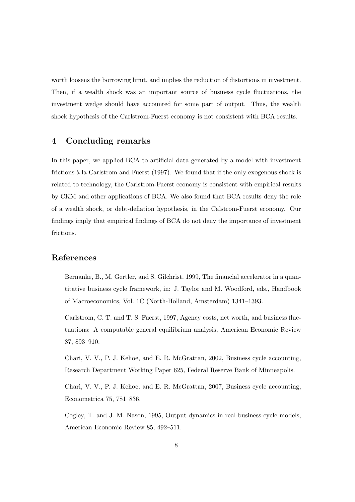worth loosens the borrowing limit, and implies the reduction of distortions in investment. Then, if a wealth shock was an important source of business cycle fluctuations, the investment wedge should have accounted for some part of output. Thus, the wealth shock hypothesis of the Carlstrom-Fuerst economy is not consistent with BCA results.

## **4 Concluding remarks**

In this paper, we applied BCA to artificial data generated by a model with investment frictions à la Carlstrom and Fuerst (1997). We found that if the only exogenous shock is related to technology, the Carlstrom-Fuerst economy is consistent with empirical results by CKM and other applications of BCA. We also found that BCA results deny the role of a wealth shock, or debt-deflation hypothesis, in the Calstrom-Fuerst economy. Our findings imply that empirical findings of BCA do not deny the importance of investment frictions.

## **References**

Bernanke, B., M. Gertler, and S. Gilchrist, 1999, The financial accelerator in a quantitative business cycle framework, in: J. Taylor and M. Woodford, eds., Handbook of Macroeconomics, Vol. 1C (North-Holland, Amsterdam) 1341–1393.

Carlstrom, C. T. and T. S. Fuerst, 1997, Agency costs, net worth, and business fluctuations: A computable general equilibrium analysis, American Economic Review 87, 893–910.

Chari, V. V., P. J. Kehoe, and E. R. McGrattan, 2002, Business cycle accounting, Research Department Working Paper 625, Federal Reserve Bank of Minneapolis.

Chari, V. V., P. J. Kehoe, and E. R. McGrattan, 2007, Business cycle accounting, Econometrica 75, 781–836.

Cogley, T. and J. M. Nason, 1995, Output dynamics in real-business-cycle models, American Economic Review 85, 492–511.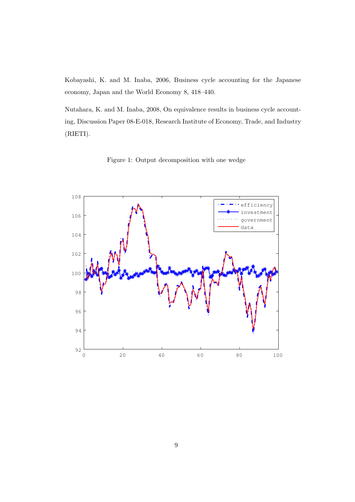Kobayashi, K. and M. Inaba, 2006, Business cycle accounting for the Japanese economy, Japan and the World Economy 8, 418–440.

Nutahara, K. and M. Inaba, 2008, On equivalence results in business cycle accounting, Discussion Paper 08-E-018, Research Institute of Economy, Trade, and Industry (RIETI).



Figure 1: Output decomposition with one wedge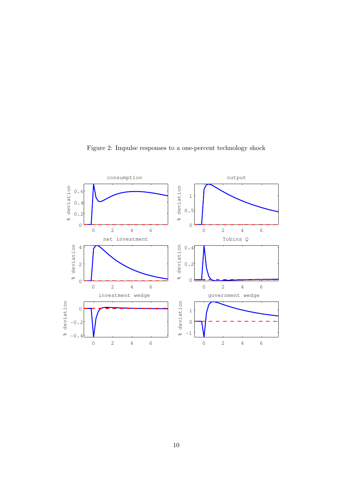

Figure 2: Impulse responses to a one-percent technology shock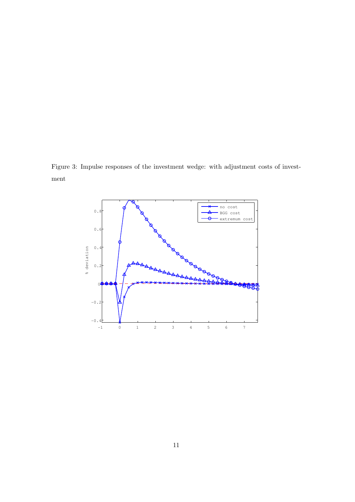Figure 3: Impulse responses of the investment wedge: with adjustment costs of investment